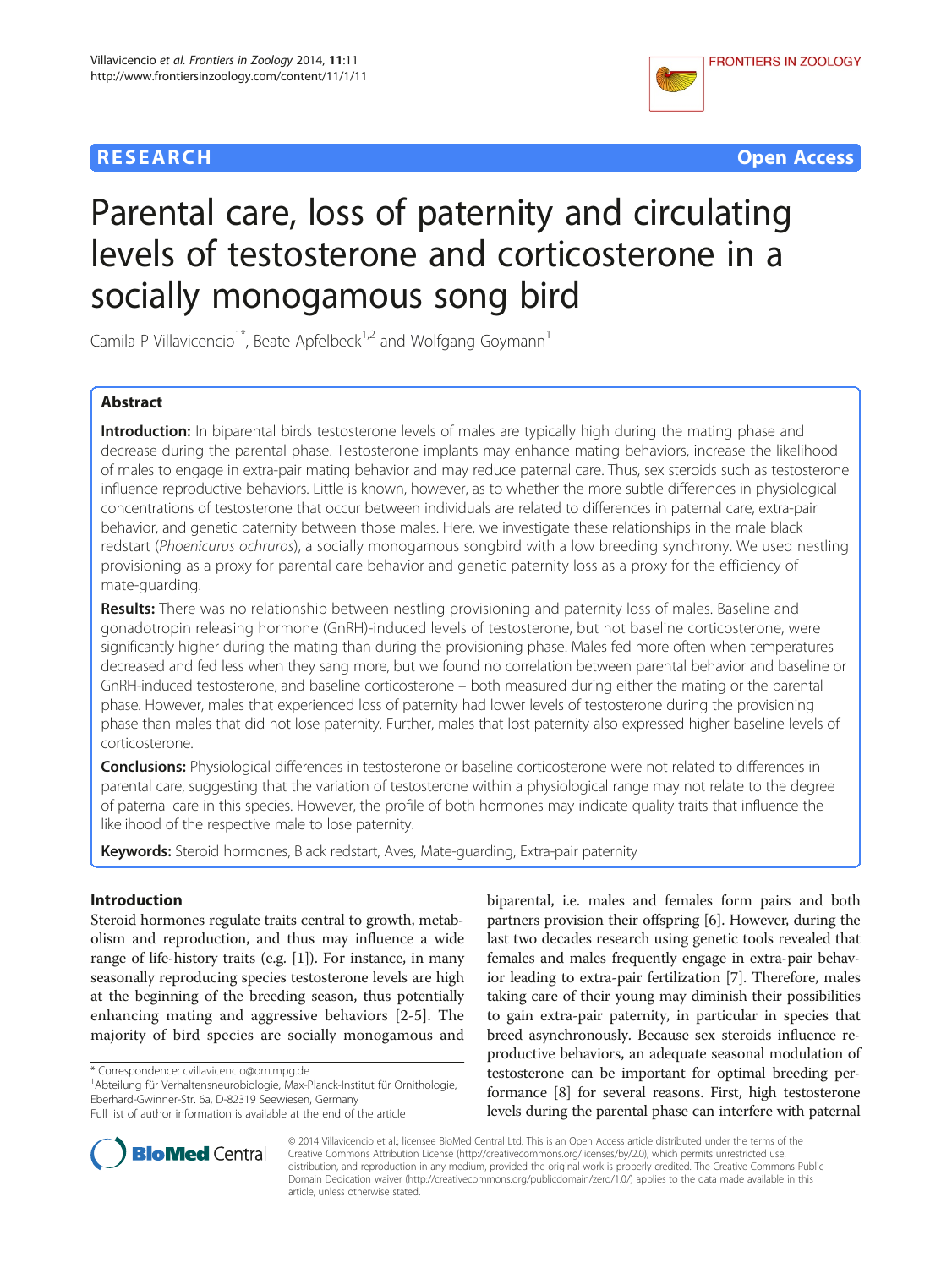## **RESEARCH CHEAR CHEAR CHEAR CHEAR CHEAR CHEAR CHEAR CHEAR CHEAR CHEAR CHEAR CHEAR CHEAR CHEAR CHEAR CHEAR CHEAR**



# Parental care, loss of paternity and circulating levels of testosterone and corticosterone in a socially monogamous song bird

Camila P Villavicencio<sup>1\*</sup>, Beate Apfelbeck<sup>1,2</sup> and Wolfgang Goymann<sup>1</sup>

## Abstract

Introduction: In biparental birds testosterone levels of males are typically high during the mating phase and decrease during the parental phase. Testosterone implants may enhance mating behaviors, increase the likelihood of males to engage in extra-pair mating behavior and may reduce paternal care. Thus, sex steroids such as testosterone influence reproductive behaviors. Little is known, however, as to whether the more subtle differences in physiological concentrations of testosterone that occur between individuals are related to differences in paternal care, extra-pair behavior, and genetic paternity between those males. Here, we investigate these relationships in the male black redstart (Phoenicurus ochruros), a socially monogamous songbird with a low breeding synchrony. We used nestling provisioning as a proxy for parental care behavior and genetic paternity loss as a proxy for the efficiency of mate-guarding.

Results: There was no relationship between nestling provisioning and paternity loss of males. Baseline and gonadotropin releasing hormone (GnRH)-induced levels of testosterone, but not baseline corticosterone, were significantly higher during the mating than during the provisioning phase. Males fed more often when temperatures decreased and fed less when they sang more, but we found no correlation between parental behavior and baseline or GnRH-induced testosterone, and baseline corticosterone – both measured during either the mating or the parental phase. However, males that experienced loss of paternity had lower levels of testosterone during the provisioning phase than males that did not lose paternity. Further, males that lost paternity also expressed higher baseline levels of corticosterone.

**Conclusions:** Physiological differences in testosterone or baseline corticosterone were not related to differences in parental care, suggesting that the variation of testosterone within a physiological range may not relate to the degree of paternal care in this species. However, the profile of both hormones may indicate quality traits that influence the likelihood of the respective male to lose paternity.

Keywords: Steroid hormones, Black redstart, Aves, Mate-guarding, Extra-pair paternity

## Introduction

Steroid hormones regulate traits central to growth, metabolism and reproduction, and thus may influence a wide range of life-history traits (e.g. [[1\]](#page-10-0)). For instance, in many seasonally reproducing species testosterone levels are high at the beginning of the breeding season, thus potentially enhancing mating and aggressive behaviors [[2-5](#page-10-0)]. The majority of bird species are socially monogamous and

Abteilung für Verhaltensneurobiologie, Max-Planck-Institut für Ornithologie, Eberhard-Gwinner-Str. 6a, D-82319 Seewiesen, Germany

biparental, i.e. males and females form pairs and both partners provision their offspring [[6](#page-10-0)]. However, during the last two decades research using genetic tools revealed that females and males frequently engage in extra-pair behavior leading to extra-pair fertilization [\[7](#page-11-0)]. Therefore, males taking care of their young may diminish their possibilities to gain extra-pair paternity, in particular in species that breed asynchronously. Because sex steroids influence reproductive behaviors, an adequate seasonal modulation of testosterone can be important for optimal breeding performance [[8](#page-11-0)] for several reasons. First, high testosterone levels during the parental phase can interfere with paternal



© 2014 Villavicencio et al.; licensee BioMed Central Ltd. This is an Open Access article distributed under the terms of the Creative Commons Attribution License (<http://creativecommons.org/licenses/by/2.0>), which permits unrestricted use, distribution, and reproduction in any medium, provided the original work is properly credited. The Creative Commons Public Domain Dedication waiver [\(http://creativecommons.org/publicdomain/zero/1.0/\)](http://creativecommons.org/publicdomain/zero/1.0/) applies to the data made available in this article, unless otherwise stated.

<sup>\*</sup> Correspondence: [cvillavicencio@orn.mpg.de](mailto:cvillavicencio@orn.mpg.de) <sup>1</sup>

Full list of author information is available at the end of the article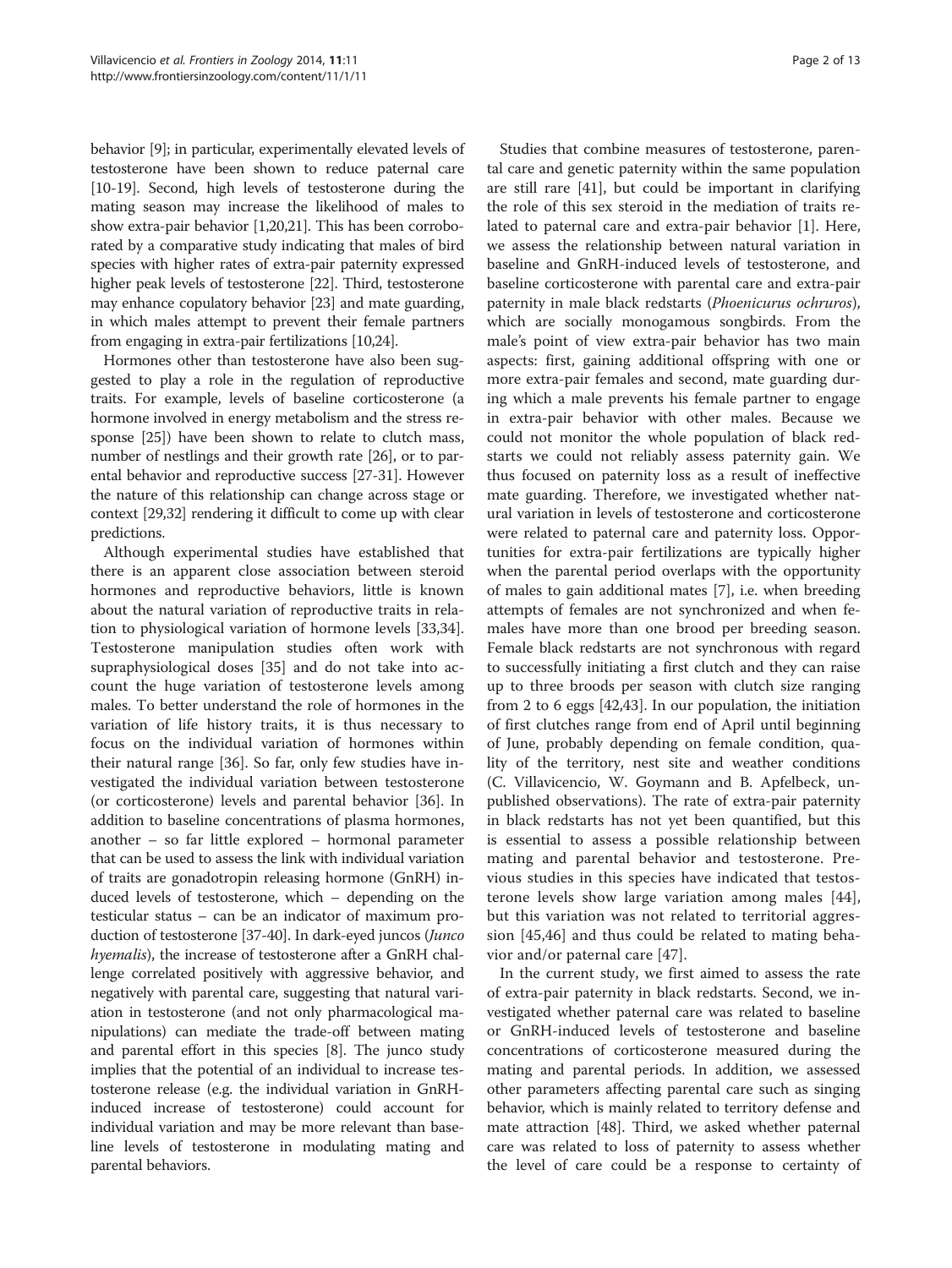behavior [[9](#page-11-0)]; in particular, experimentally elevated levels of testosterone have been shown to reduce paternal care [[10](#page-11-0)-[19](#page-11-0)]. Second, high levels of testosterone during the mating season may increase the likelihood of males to show extra-pair behavior [[1](#page-10-0)[,20,21\]](#page-11-0). This has been corroborated by a comparative study indicating that males of bird species with higher rates of extra-pair paternity expressed higher peak levels of testosterone [[22](#page-11-0)]. Third, testosterone may enhance copulatory behavior [\[23](#page-11-0)] and mate guarding, in which males attempt to prevent their female partners from engaging in extra-pair fertilizations [\[10,24](#page-11-0)].

Hormones other than testosterone have also been suggested to play a role in the regulation of reproductive traits. For example, levels of baseline corticosterone (a hormone involved in energy metabolism and the stress response [\[25\]](#page-11-0)) have been shown to relate to clutch mass, number of nestlings and their growth rate [\[26\]](#page-11-0), or to parental behavior and reproductive success [\[27](#page-11-0)-[31](#page-11-0)]. However the nature of this relationship can change across stage or context [\[29,32\]](#page-11-0) rendering it difficult to come up with clear predictions.

Although experimental studies have established that there is an apparent close association between steroid hormones and reproductive behaviors, little is known about the natural variation of reproductive traits in relation to physiological variation of hormone levels [\[33,34](#page-11-0)]. Testosterone manipulation studies often work with supraphysiological doses [\[35\]](#page-11-0) and do not take into account the huge variation of testosterone levels among males. To better understand the role of hormones in the variation of life history traits, it is thus necessary to focus on the individual variation of hormones within their natural range [\[36](#page-11-0)]. So far, only few studies have investigated the individual variation between testosterone (or corticosterone) levels and parental behavior [[36\]](#page-11-0). In addition to baseline concentrations of plasma hormones, another – so far little explored – hormonal parameter that can be used to assess the link with individual variation of traits are gonadotropin releasing hormone (GnRH) induced levels of testosterone, which – depending on the testicular status – can be an indicator of maximum production of testosterone [\[37-40\]](#page-11-0). In dark-eyed juncos (Junco hyemalis), the increase of testosterone after a GnRH challenge correlated positively with aggressive behavior, and negatively with parental care, suggesting that natural variation in testosterone (and not only pharmacological manipulations) can mediate the trade-off between mating and parental effort in this species [[8\]](#page-11-0). The junco study implies that the potential of an individual to increase testosterone release (e.g. the individual variation in GnRHinduced increase of testosterone) could account for individual variation and may be more relevant than baseline levels of testosterone in modulating mating and parental behaviors.

Studies that combine measures of testosterone, parental care and genetic paternity within the same population are still rare [[41](#page-11-0)], but could be important in clarifying the role of this sex steroid in the mediation of traits related to paternal care and extra-pair behavior [\[1](#page-10-0)]. Here, we assess the relationship between natural variation in baseline and GnRH-induced levels of testosterone, and baseline corticosterone with parental care and extra-pair paternity in male black redstarts (Phoenicurus ochruros), which are socially monogamous songbirds. From the male's point of view extra-pair behavior has two main aspects: first, gaining additional offspring with one or more extra-pair females and second, mate guarding during which a male prevents his female partner to engage in extra-pair behavior with other males. Because we could not monitor the whole population of black redstarts we could not reliably assess paternity gain. We thus focused on paternity loss as a result of ineffective mate guarding. Therefore, we investigated whether natural variation in levels of testosterone and corticosterone were related to paternal care and paternity loss. Opportunities for extra-pair fertilizations are typically higher when the parental period overlaps with the opportunity of males to gain additional mates [\[7](#page-11-0)], i.e. when breeding attempts of females are not synchronized and when females have more than one brood per breeding season. Female black redstarts are not synchronous with regard to successfully initiating a first clutch and they can raise up to three broods per season with clutch size ranging from 2 to 6 eggs [\[42,43\]](#page-11-0). In our population, the initiation of first clutches range from end of April until beginning of June, probably depending on female condition, quality of the territory, nest site and weather conditions (C. Villavicencio, W. Goymann and B. Apfelbeck, unpublished observations). The rate of extra-pair paternity in black redstarts has not yet been quantified, but this is essential to assess a possible relationship between mating and parental behavior and testosterone. Previous studies in this species have indicated that testosterone levels show large variation among males [[44](#page-11-0)], but this variation was not related to territorial aggression [[45,46](#page-11-0)] and thus could be related to mating behavior and/or paternal care [[47\]](#page-11-0).

In the current study, we first aimed to assess the rate of extra-pair paternity in black redstarts. Second, we investigated whether paternal care was related to baseline or GnRH-induced levels of testosterone and baseline concentrations of corticosterone measured during the mating and parental periods. In addition, we assessed other parameters affecting parental care such as singing behavior, which is mainly related to territory defense and mate attraction [\[48\]](#page-11-0). Third, we asked whether paternal care was related to loss of paternity to assess whether the level of care could be a response to certainty of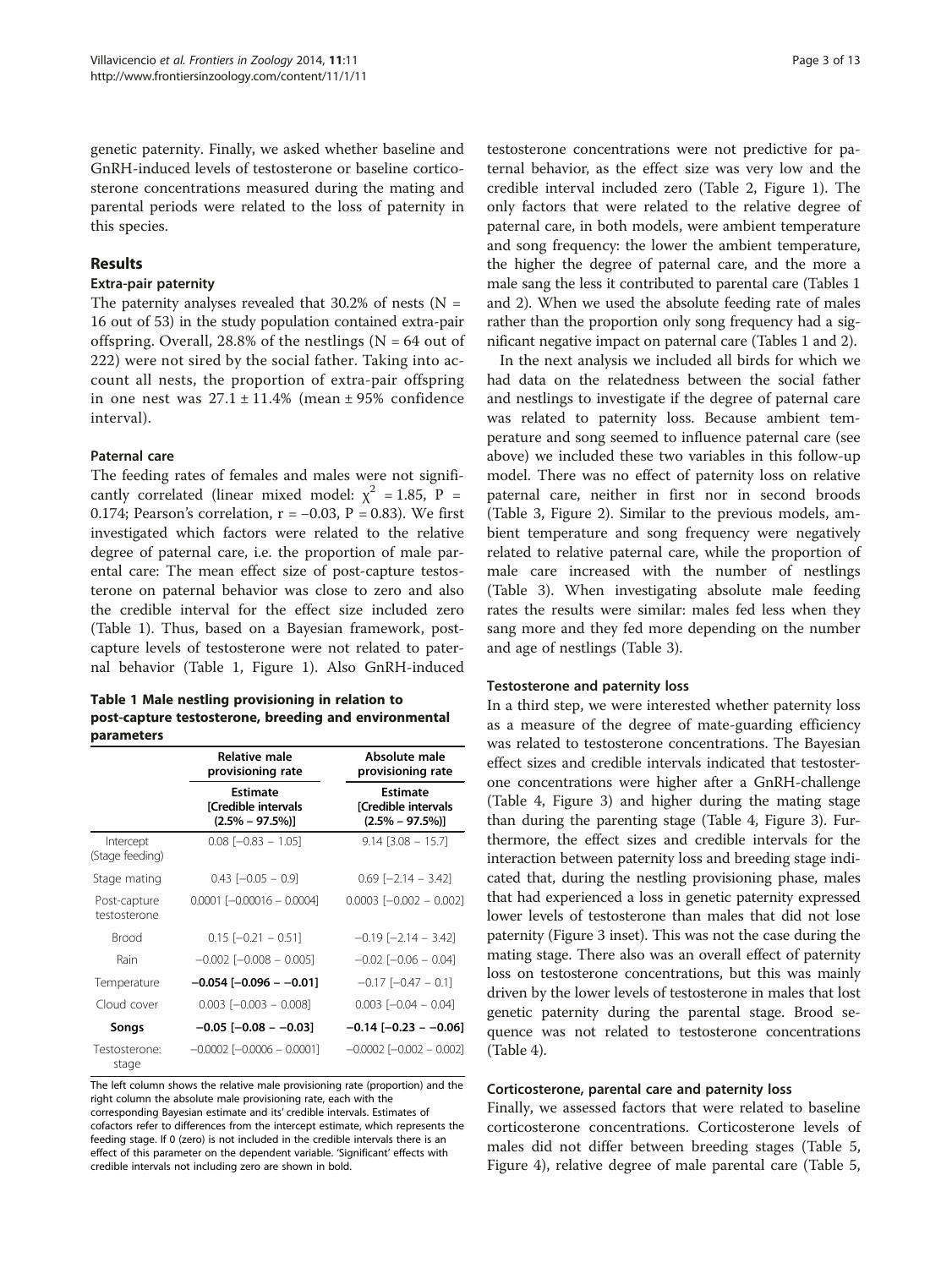<span id="page-2-0"></span>genetic paternity. Finally, we asked whether baseline and GnRH-induced levels of testosterone or baseline corticosterone concentrations measured during the mating and parental periods were related to the loss of paternity in this species.

### Results

#### Extra-pair paternity

The paternity analyses revealed that  $30.2\%$  of nests (N = 16 out of 53) in the study population contained extra-pair offspring. Overall, 28.8% of the nestlings ( $N = 64$  out of 222) were not sired by the social father. Taking into account all nests, the proportion of extra-pair offspring in one nest was  $27.1 \pm 11.4\%$  (mean  $\pm 95\%$  confidence interval).

#### Paternal care

The feeding rates of females and males were not significantly correlated (linear mixed model:  $\chi^2$  = 1.85, P = 0.174; Pearson's correlation,  $r = -0.03$ ,  $P = 0.83$ ). We first investigated which factors were related to the relative degree of paternal care, i.e. the proportion of male parental care: The mean effect size of post-capture testosterone on paternal behavior was close to zero and also the credible interval for the effect size included zero (Table 1). Thus, based on a Bayesian framework, postcapture levels of testosterone were not related to paternal behavior (Table 1, Figure [1\)](#page-3-0). Also GnRH-induced

| Table 1 Male nestling provisioning in relation to     |
|-------------------------------------------------------|
| post-capture testosterone, breeding and environmental |
| parameters                                            |

|                              | <b>Relative male</b><br>provisioning rate             | Absolute male<br>provisioning rate                           |
|------------------------------|-------------------------------------------------------|--------------------------------------------------------------|
|                              | Estimate<br>[Credible intervals<br>$(2.5\% - 97.5\%)$ | <b>Estimate</b><br>[Credible intervals<br>$(2.5\% - 97.5\%)$ |
| Intercept<br>(Stage feeding) | $0.08$ $[-0.83 - 1.05]$                               | $9.14$ [3.08 - 15.7]                                         |
| Stage mating                 | $0.43$ $[-0.05 - 0.9]$                                | $0.69$ [-2.14 - 3.42]                                        |
| Post-capture<br>testosterone | $0.0001$ [-0.00016 - 0.0004]                          | $0.0003$ [ $-0.002 - 0.002$ ]                                |
| Brood                        | $0.15$ [-0.21 - 0.51]                                 | $-0.19$ [ $-2.14 - 3.42$ ]                                   |
| Rain                         | $-0.002$ [ $-0.008 - 0.005$ ]                         | $-0.02$ [ $-0.06 - 0.04$ ]                                   |
| Temperature                  | $-0.054$ [ $-0.096$ - $-0.01$ ]                       | $-0.17$ $[-0.47 - 0.1]$                                      |
| Cloud cover                  | $0.003$ [ $-0.003 - 0.008$ ]                          | $0.003$ [ $-0.04 - 0.04$ ]                                   |
| Songs                        | $-0.05$ [ $-0.08$ - $-0.03$ ]                         | $-0.14$ [ $-0.23$ - $-0.06$ ]                                |
| Testosterone:<br>stage       | $-0.0002$ [ $-0.0006 - 0.0001$ ]                      | $-0.0002$ [ $-0.002 - 0.002$ ]                               |

The left column shows the relative male provisioning rate (proportion) and the right column the absolute male provisioning rate, each with the corresponding Bayesian estimate and its' credible intervals. Estimates of cofactors refer to differences from the intercept estimate, which represents the feeding stage. If 0 (zero) is not included in the credible intervals there is an effect of this parameter on the dependent variable. 'Significant' effects with credible intervals not including zero are shown in bold.

testosterone concentrations were not predictive for paternal behavior, as the effect size was very low and the credible interval included zero (Table [2,](#page-3-0) Figure [1\)](#page-3-0). The only factors that were related to the relative degree of paternal care, in both models, were ambient temperature and song frequency: the lower the ambient temperature, the higher the degree of paternal care, and the more a male sang the less it contributed to parental care (Tables 1 and [2\)](#page-3-0). When we used the absolute feeding rate of males rather than the proportion only song frequency had a significant negative impact on paternal care (Tables 1 and [2](#page-3-0)).

In the next analysis we included all birds for which we had data on the relatedness between the social father and nestlings to investigate if the degree of paternal care was related to paternity loss. Because ambient temperature and song seemed to influence paternal care (see above) we included these two variables in this follow-up model. There was no effect of paternity loss on relative paternal care, neither in first nor in second broods (Table [3,](#page-3-0) Figure [2\)](#page-4-0). Similar to the previous models, ambient temperature and song frequency were negatively related to relative paternal care, while the proportion of male care increased with the number of nestlings (Table [3](#page-3-0)). When investigating absolute male feeding rates the results were similar: males fed less when they sang more and they fed more depending on the number and age of nestlings (Table [3\)](#page-3-0).

#### Testosterone and paternity loss

In a third step, we were interested whether paternity loss as a measure of the degree of mate-guarding efficiency was related to testosterone concentrations. The Bayesian effect sizes and credible intervals indicated that testosterone concentrations were higher after a GnRH-challenge (Table [4](#page-4-0), Figure [3](#page-5-0)) and higher during the mating stage than during the parenting stage (Table [4,](#page-4-0) Figure [3](#page-5-0)). Furthermore, the effect sizes and credible intervals for the interaction between paternity loss and breeding stage indicated that, during the nestling provisioning phase, males that had experienced a loss in genetic paternity expressed lower levels of testosterone than males that did not lose paternity (Figure [3](#page-5-0) inset). This was not the case during the mating stage. There also was an overall effect of paternity loss on testosterone concentrations, but this was mainly driven by the lower levels of testosterone in males that lost genetic paternity during the parental stage. Brood sequence was not related to testosterone concentrations (Table [4](#page-4-0)).

### Corticosterone, parental care and paternity loss

Finally, we assessed factors that were related to baseline corticosterone concentrations. Corticosterone levels of males did not differ between breeding stages (Table [5](#page-5-0), Figure [4\)](#page-6-0), relative degree of male parental care (Table [5](#page-5-0),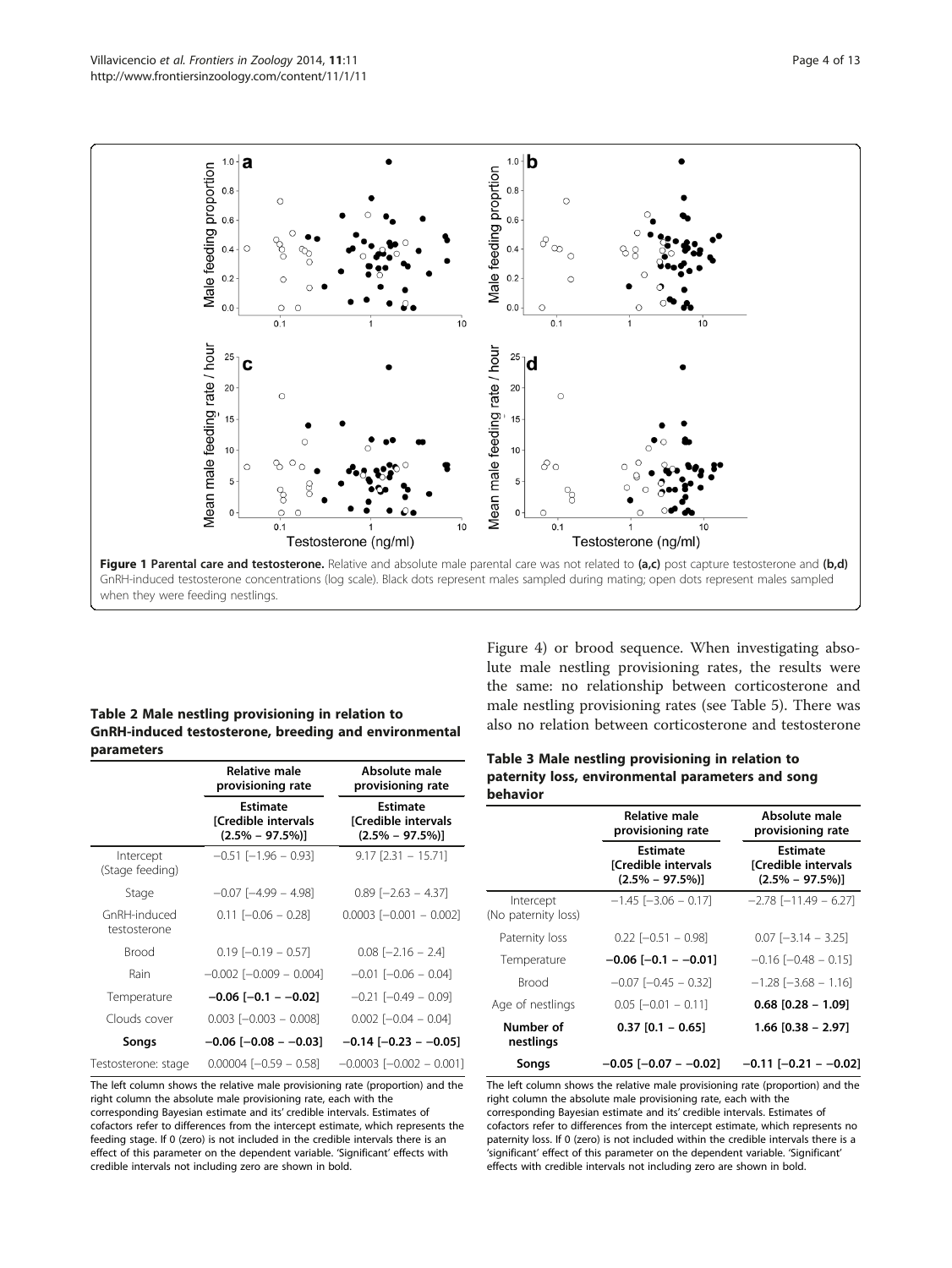<span id="page-3-0"></span>

| Table 2 Male nestling provisioning in relation to     |  |  |
|-------------------------------------------------------|--|--|
| GnRH-induced testosterone, breeding and environmental |  |  |
| parameters                                            |  |  |

Relative male provisioning rate Absolute male provisioning rate Estimate [Credible intervals  $(2.5\% - 97.5\%)]$ Estimate [Credible intervals  $(2.5\% - 97.5\%)$ Intercept (Stage feeding) −0.51 [−1.96 – 0.93] 9.17 [2.31 – 15.71] Stage −0.07 [−4.99 – 4.98] 0.89 [−2.63 – 4.37] GnRH-induced testosterone 0.11 [−0.06 – 0.28] 0.0003 [−0.001 – 0.002] Brood 0.19 [−0.19 – 0.57] 0.08 [−2.16 – 2.4] Rain  $-0.002$  [ $-0.009$  – 0.004]  $-0.01$  [ $-0.06$  – 0.04] Temperature **-0.06 [-0.1 – −0.02]** -0.21 [-0.49 – 0.09] Clouds cover 0.003 [−0.003 – 0.008] 0.002 [−0.04 – 0.04] Songs  $-0.06$   $[-0.08 - 0.03]$   $-0.14$   $[-0.23 - 0.05]$ Testosterone: stage 0.00004 [−0.59 – 0.58] −0.0003 [−0.002 – 0.001]

The left column shows the relative male provisioning rate (proportion) and the right column the absolute male provisioning rate, each with the corresponding Bayesian estimate and its' credible intervals. Estimates of cofactors refer to differences from the intercept estimate, which represents the feeding stage. If 0 (zero) is not included in the credible intervals there is an effect of this parameter on the dependent variable. 'Significant' effects with credible intervals not including zero are shown in bold.

Figure [4\)](#page-6-0) or brood sequence. When investigating absolute male nestling provisioning rates, the results were the same: no relationship between corticosterone and male nestling provisioning rates (see Table [5\)](#page-5-0). There was also no relation between corticosterone and testosterone

| Table 3 Male nestling provisioning in relation to |  |
|---------------------------------------------------|--|
| paternity loss, environmental parameters and song |  |
| <b>behavior</b>                                   |  |

|                                  | Relative male<br>provisioning rate                           | Absolute male<br>provisioning rate                    |
|----------------------------------|--------------------------------------------------------------|-------------------------------------------------------|
|                                  | Estimate<br><b>[Credible intervals</b><br>$(2.5\% - 97.5\%)$ | Estimate<br>[Credible intervals<br>$(2.5\% - 97.5\%)$ |
| Intercept<br>(No paternity loss) | $-1.45$ [ $-3.06 - 0.17$ ]                                   | $-2.78$ [ $-11.49$ - 6.27]                            |
| Paternity loss                   | $0.22$ [-0.51 - 0.98]                                        | $0.07$ $[-3.14 - 3.25]$                               |
| Temperature                      | $-0.06$ [ $-0.1 - -0.01$ ]                                   | $-0.16$ $[-0.48 - 0.15]$                              |
| <b>Brood</b>                     | $-0.07$ $[-0.45 - 0.32]$                                     | $-1.28$ [ $-3.68 - 1.16$ ]                            |
| Age of nestlings                 | $0.05$ [ $-0.01 - 0.11$ ]                                    | $0.68$ [0.28 - 1.09]                                  |
| Number of<br>nestlings           | $0.37$ [0.1 - 0.65]                                          | $1.66$ [0.38 - 2.97]                                  |
| Songs                            | $-0.05$ [ $-0.07 - 0.02$ ]                                   | $-0.11$ [ $-0.21$ - $-0.02$ ]                         |

The left column shows the relative male provisioning rate (proportion) and the right column the absolute male provisioning rate, each with the corresponding Bayesian estimate and its' credible intervals. Estimates of cofactors refer to differences from the intercept estimate, which represents no paternity loss. If 0 (zero) is not included within the credible intervals there is a 'significant' effect of this parameter on the dependent variable. 'Significant' effects with credible intervals not including zero are shown in bold.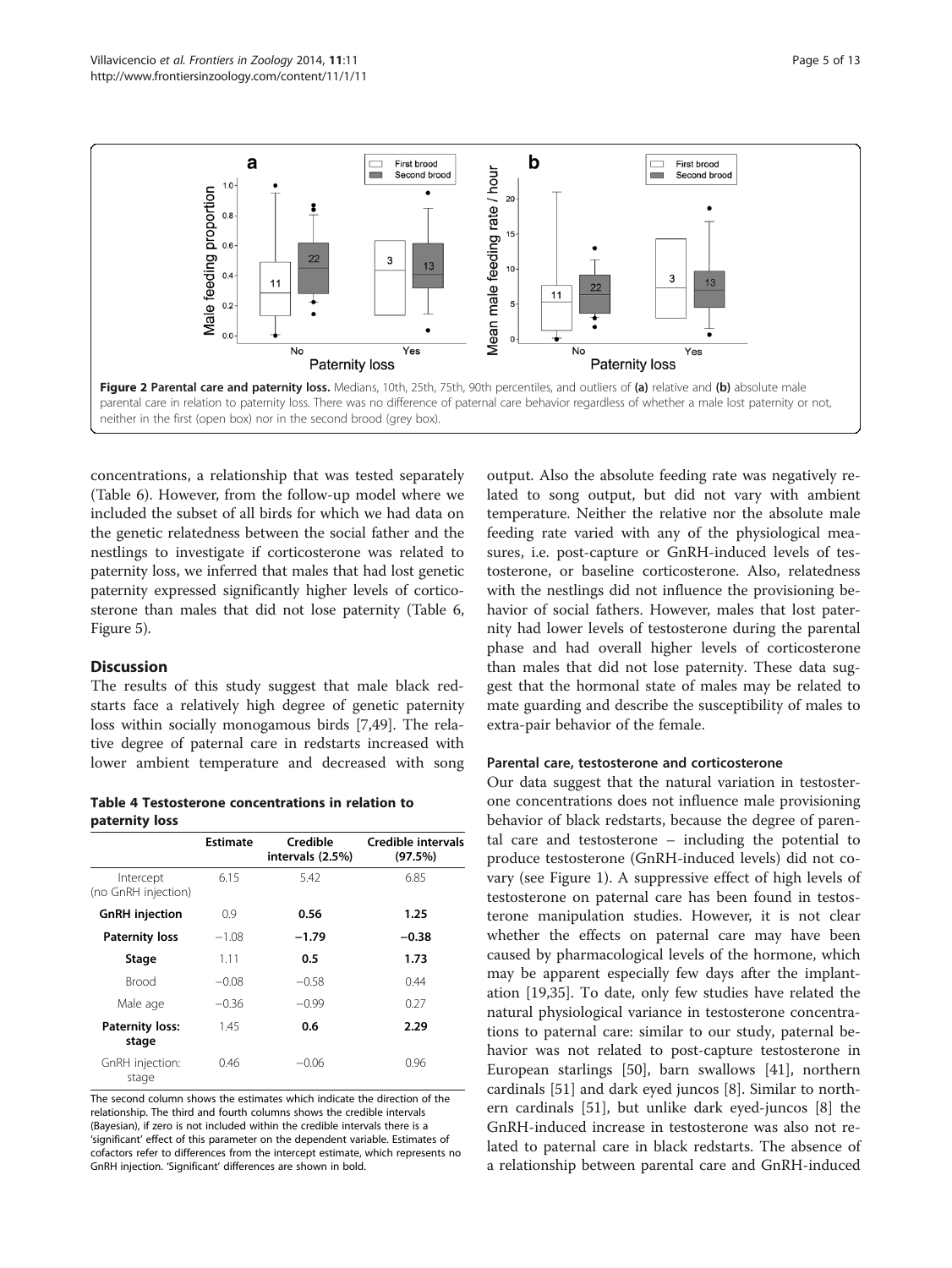<span id="page-4-0"></span>

concentrations, a relationship that was tested separately (Table [6](#page-6-0)). However, from the follow-up model where we included the subset of all birds for which we had data on the genetic relatedness between the social father and the nestlings to investigate if corticosterone was related to paternity loss, we inferred that males that had lost genetic paternity expressed significantly higher levels of corticosterone than males that did not lose paternity (Table [6](#page-6-0), Figure [5](#page-6-0)).

#### **Discussion**

The results of this study suggest that male black redstarts face a relatively high degree of genetic paternity loss within socially monogamous birds [[7,49\]](#page-11-0). The relative degree of paternal care in redstarts increased with lower ambient temperature and decreased with song

| Table 4 Testosterone concentrations in relation to |  |  |
|----------------------------------------------------|--|--|
| paternity loss                                     |  |  |

|                                  | <b>Estimate</b> | Credible<br>intervals (2.5%) | Credible intervals<br>(97.5%) |
|----------------------------------|-----------------|------------------------------|-------------------------------|
| Intercept<br>(no GnRH injection) | 6.15            | 5.42                         | 6.85                          |
| <b>GnRH</b> injection            | 0.9             | 0.56                         | 1.25                          |
| <b>Paternity loss</b>            | $-1.08$         | $-1.79$                      | $-0.38$                       |
| Stage                            | 1.11            | 0.5                          | 1.73                          |
| <b>Brood</b>                     | $-0.08$         | $-0.58$                      | 0.44                          |
| Male age                         | $-0.36$         | $-0.99$                      | 0.27                          |
| <b>Paternity loss:</b><br>stage  | 1.45            | 0.6                          | 2.29                          |
| GnRH injection:<br>stage         | 0.46            | $-0.06$                      | 0.96                          |

The second column shows the estimates which indicate the direction of the relationship. The third and fourth columns shows the credible intervals (Bayesian), if zero is not included within the credible intervals there is a 'significant' effect of this parameter on the dependent variable. Estimates of cofactors refer to differences from the intercept estimate, which represents no GnRH injection. 'Significant' differences are shown in bold.

output. Also the absolute feeding rate was negatively related to song output, but did not vary with ambient temperature. Neither the relative nor the absolute male feeding rate varied with any of the physiological measures, i.e. post-capture or GnRH-induced levels of testosterone, or baseline corticosterone. Also, relatedness with the nestlings did not influence the provisioning behavior of social fathers. However, males that lost paternity had lower levels of testosterone during the parental phase and had overall higher levels of corticosterone than males that did not lose paternity. These data suggest that the hormonal state of males may be related to mate guarding and describe the susceptibility of males to extra-pair behavior of the female.

#### Parental care, testosterone and corticosterone

Our data suggest that the natural variation in testosterone concentrations does not influence male provisioning behavior of black redstarts, because the degree of parental care and testosterone – including the potential to produce testosterone (GnRH-induced levels) did not covary (see Figure [1\)](#page-3-0). A suppressive effect of high levels of testosterone on paternal care has been found in testosterone manipulation studies. However, it is not clear whether the effects on paternal care may have been caused by pharmacological levels of the hormone, which may be apparent especially few days after the implantation [\[19,35\]](#page-11-0). To date, only few studies have related the natural physiological variance in testosterone concentrations to paternal care: similar to our study, paternal behavior was not related to post-capture testosterone in European starlings [\[50\]](#page-11-0), barn swallows [[41](#page-11-0)], northern cardinals [\[51](#page-11-0)] and dark eyed juncos [\[8\]](#page-11-0). Similar to northern cardinals [[51\]](#page-11-0), but unlike dark eyed-juncos [\[8](#page-11-0)] the GnRH-induced increase in testosterone was also not related to paternal care in black redstarts. The absence of a relationship between parental care and GnRH-induced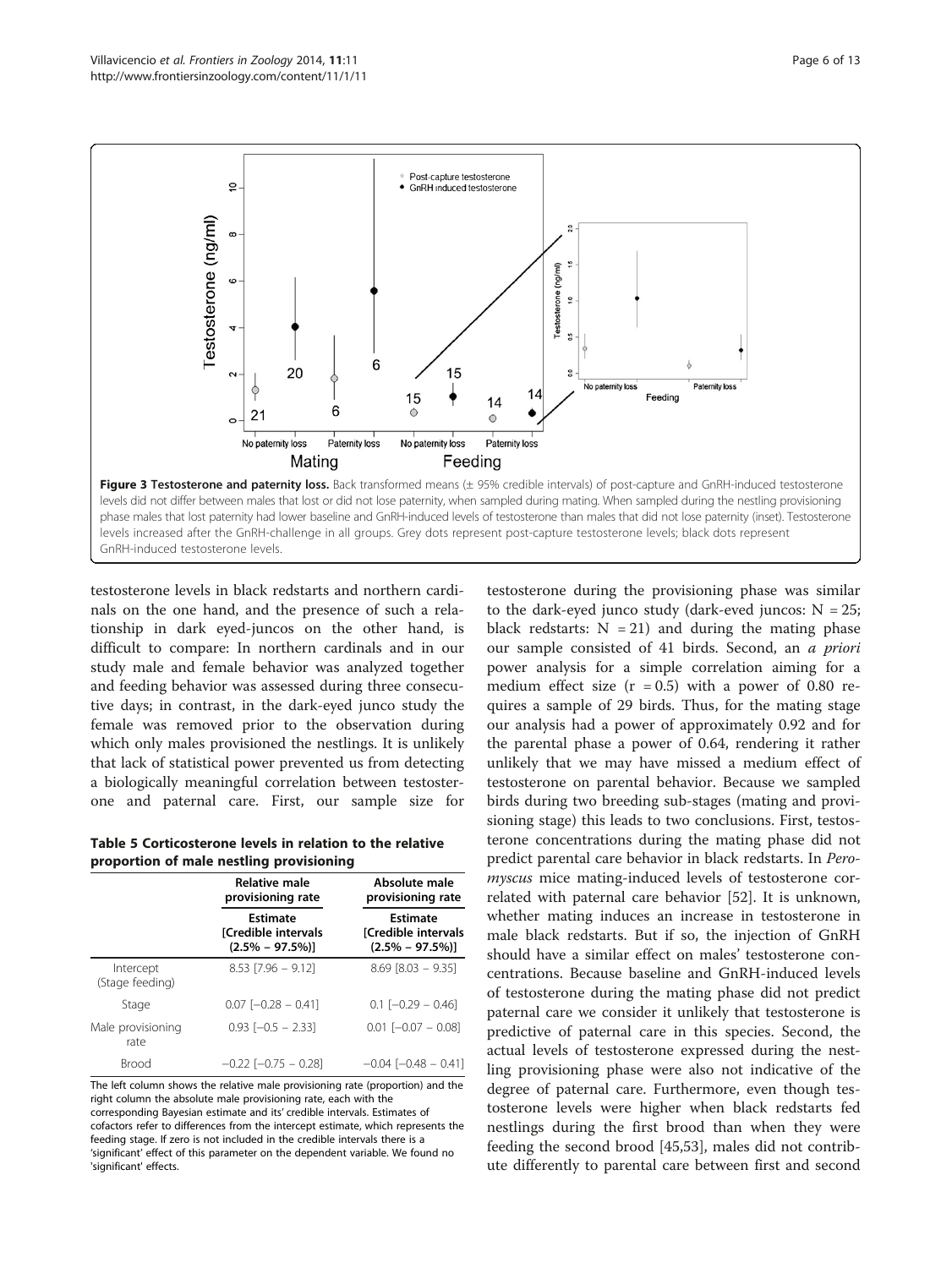<span id="page-5-0"></span>

testosterone levels in black redstarts and northern cardinals on the one hand, and the presence of such a relationship in dark eyed-juncos on the other hand, is difficult to compare: In northern cardinals and in our study male and female behavior was analyzed together and feeding behavior was assessed during three consecutive days; in contrast, in the dark-eyed junco study the female was removed prior to the observation during which only males provisioned the nestlings. It is unlikely that lack of statistical power prevented us from detecting a biologically meaningful correlation between testosterone and paternal care. First, our sample size for

Table 5 Corticosterone levels in relation to the relative proportion of male nestling provisioning

|                              | <b>Relative male</b><br>provisioning rate                    | Absolute male<br>provisioning rate                           |  |
|------------------------------|--------------------------------------------------------------|--------------------------------------------------------------|--|
|                              | <b>Estimate</b><br>[Credible intervals<br>$(2.5\% - 97.5\%)$ | Estimate<br><b>ICredible intervals</b><br>$(2.5\% - 97.5\%)$ |  |
| Intercept<br>(Stage feeding) | $8.53$ [7.96 - 9.12]                                         | $8.69$ $[8.03 - 9.35]$                                       |  |
| Stage                        | $0.07$ $[-0.28 - 0.41]$                                      | $0.1$ [-0.29 - 0.46]                                         |  |
| Male provisioning<br>rate    | $0.93$ $[-0.5 - 2.33]$                                       | $0.01$ $[-0.07 - 0.08]$                                      |  |
| <b>Brood</b>                 | $-0.22$ [ $-0.75 - 0.28$ ]                                   | $-0.04$ $[-0.48 - 0.41]$                                     |  |

The left column shows the relative male provisioning rate (proportion) and the right column the absolute male provisioning rate, each with the corresponding Bayesian estimate and its' credible intervals. Estimates of cofactors refer to differences from the intercept estimate, which represents the feeding stage. If zero is not included in the credible intervals there is a 'significant' effect of this parameter on the dependent variable. We found no 'significant' effects.

testosterone during the provisioning phase was similar to the dark-eyed junco study (dark-eved juncos:  $N = 25$ ; black redstarts:  $N = 21$ ) and during the mating phase our sample consisted of 41 birds. Second, an a priori power analysis for a simple correlation aiming for a medium effect size  $(r = 0.5)$  with a power of 0.80 requires a sample of 29 birds. Thus, for the mating stage our analysis had a power of approximately 0.92 and for the parental phase a power of 0.64, rendering it rather unlikely that we may have missed a medium effect of testosterone on parental behavior. Because we sampled birds during two breeding sub-stages (mating and provisioning stage) this leads to two conclusions. First, testosterone concentrations during the mating phase did not predict parental care behavior in black redstarts. In Peromyscus mice mating-induced levels of testosterone correlated with paternal care behavior [\[52](#page-11-0)]. It is unknown, whether mating induces an increase in testosterone in male black redstarts. But if so, the injection of GnRH should have a similar effect on males' testosterone concentrations. Because baseline and GnRH-induced levels of testosterone during the mating phase did not predict paternal care we consider it unlikely that testosterone is predictive of paternal care in this species. Second, the actual levels of testosterone expressed during the nestling provisioning phase were also not indicative of the degree of paternal care. Furthermore, even though testosterone levels were higher when black redstarts fed nestlings during the first brood than when they were feeding the second brood [[45,](#page-11-0)[53](#page-12-0)], males did not contribute differently to parental care between first and second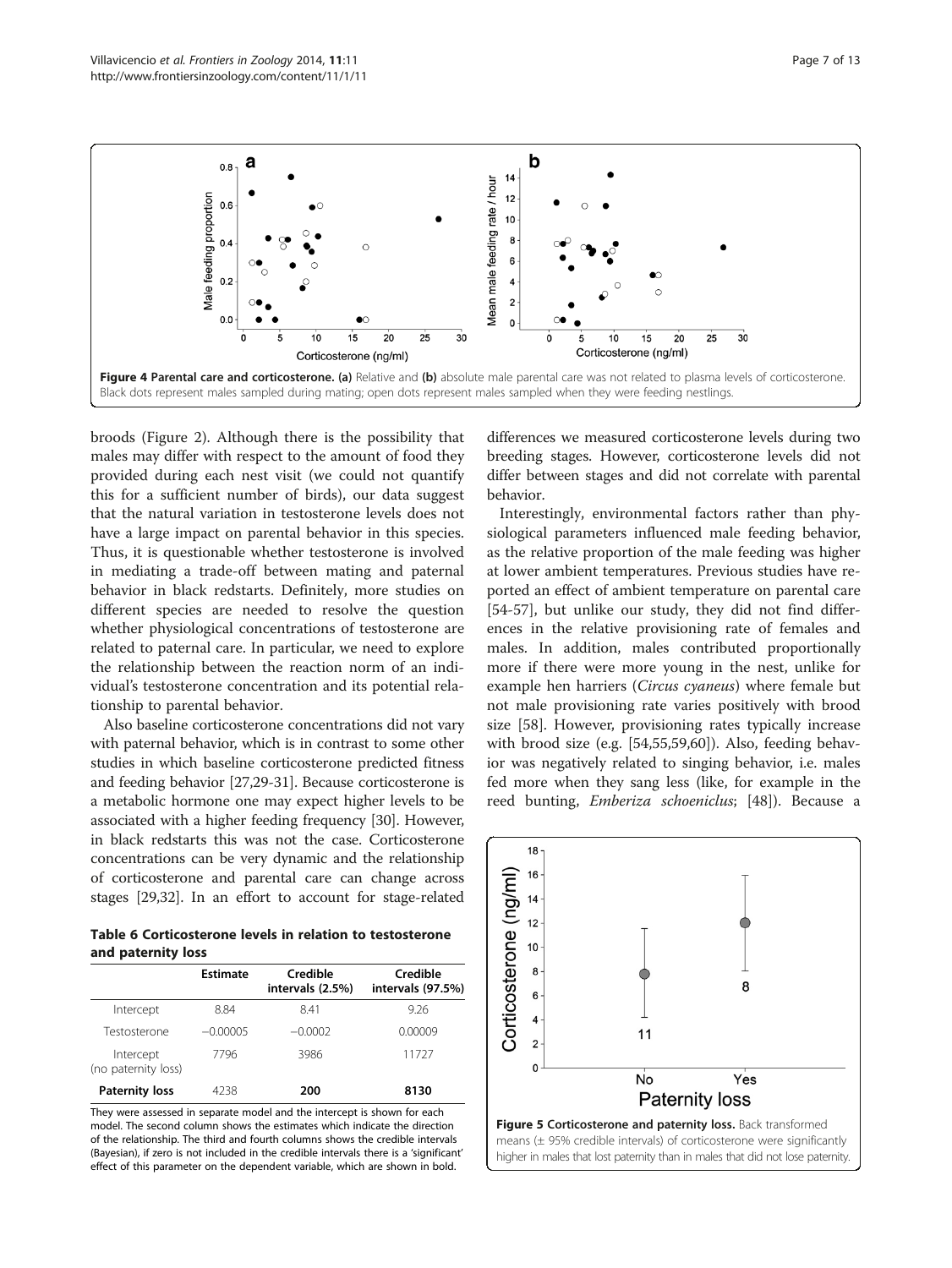<span id="page-6-0"></span>

broods (Figure [2](#page-4-0)). Although there is the possibility that males may differ with respect to the amount of food they provided during each nest visit (we could not quantify this for a sufficient number of birds), our data suggest that the natural variation in testosterone levels does not have a large impact on parental behavior in this species. Thus, it is questionable whether testosterone is involved in mediating a trade-off between mating and paternal behavior in black redstarts. Definitely, more studies on different species are needed to resolve the question whether physiological concentrations of testosterone are related to paternal care. In particular, we need to explore the relationship between the reaction norm of an individual's testosterone concentration and its potential relationship to parental behavior.

Also baseline corticosterone concentrations did not vary with paternal behavior, which is in contrast to some other studies in which baseline corticosterone predicted fitness and feeding behavior [[27,29-31](#page-11-0)]. Because corticosterone is a metabolic hormone one may expect higher levels to be associated with a higher feeding frequency [\[30\]](#page-11-0). However, in black redstarts this was not the case. Corticosterone concentrations can be very dynamic and the relationship of corticosterone and parental care can change across stages [\[29,32\]](#page-11-0). In an effort to account for stage-related

Table 6 Corticosterone levels in relation to testosterone and paternity loss

|                                  | <b>Estimate</b> | Credible<br>intervals (2.5%) | Credible<br>intervals (97.5%) |
|----------------------------------|-----------------|------------------------------|-------------------------------|
| Intercept                        | 8.84            | 8.41                         | 9.26                          |
| Testosterone                     | $-0.00005$      | $-0.0002$                    | 0.00009                       |
| Intercept<br>(no paternity loss) | 7796            | 3986                         | 11727                         |
| <b>Paternity loss</b>            | 4238            | 200                          | 8130                          |

They were assessed in separate model and the intercept is shown for each model. The second column shows the estimates which indicate the direction of the relationship. The third and fourth columns shows the credible intervals (Bayesian), if zero is not included in the credible intervals there is a 'significant' effect of this parameter on the dependent variable, which are shown in bold.

differences we measured corticosterone levels during two breeding stages. However, corticosterone levels did not differ between stages and did not correlate with parental behavior.

Interestingly, environmental factors rather than physiological parameters influenced male feeding behavior, as the relative proportion of the male feeding was higher at lower ambient temperatures. Previous studies have reported an effect of ambient temperature on parental care [[54-57](#page-12-0)], but unlike our study, they did not find differences in the relative provisioning rate of females and males. In addition, males contributed proportionally more if there were more young in the nest, unlike for example hen harriers (Circus cyaneus) where female but not male provisioning rate varies positively with brood size [\[58](#page-12-0)]. However, provisioning rates typically increase with brood size (e.g. [\[54,55,59,60\]](#page-12-0)). Also, feeding behavior was negatively related to singing behavior, i.e. males fed more when they sang less (like, for example in the reed bunting, Emberiza schoeniclus; [[48\]](#page-11-0)). Because a

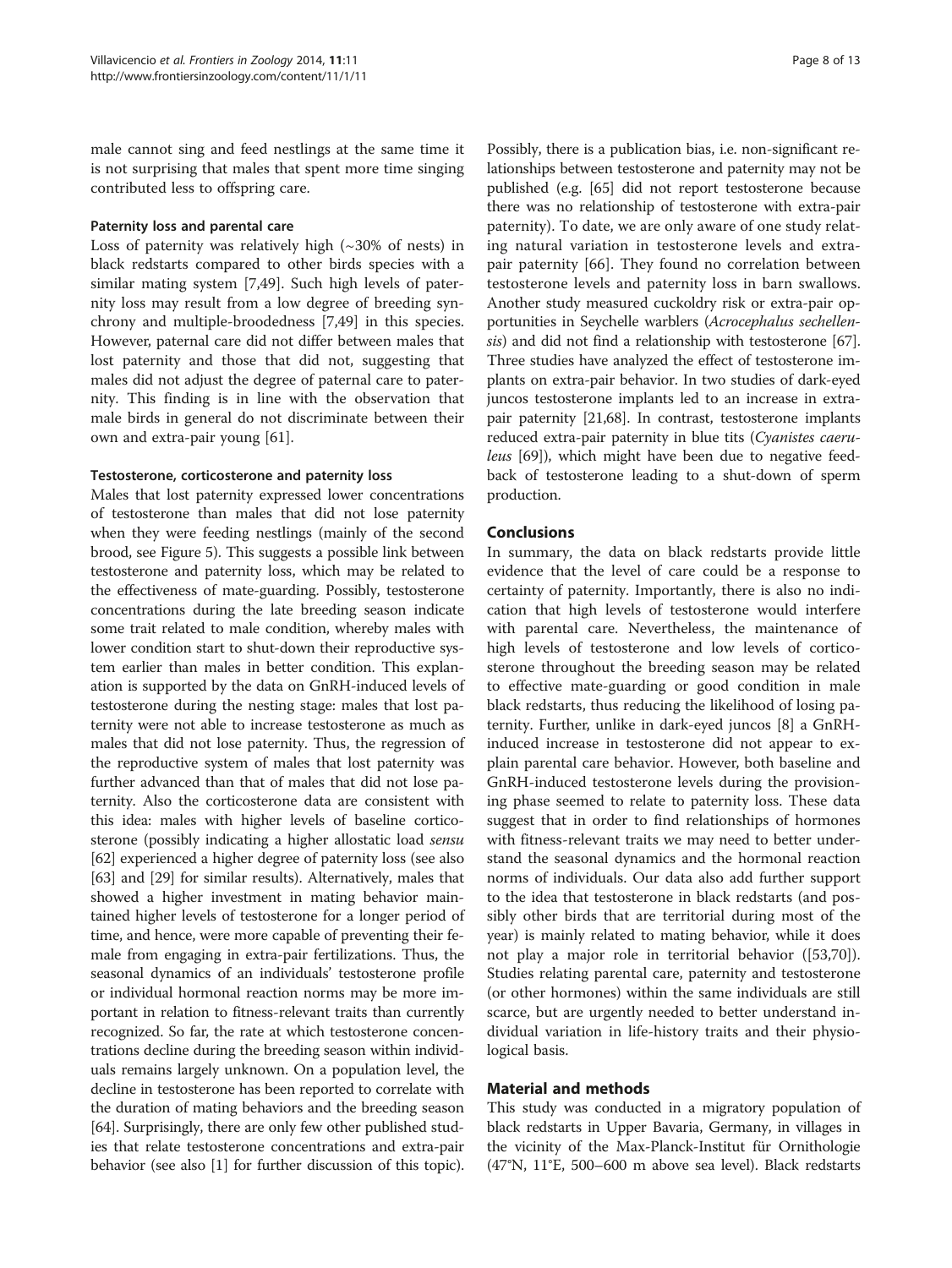male cannot sing and feed nestlings at the same time it is not surprising that males that spent more time singing contributed less to offspring care.

### Paternity loss and parental care

Loss of paternity was relatively high  $(\sim 30\%$  of nests) in black redstarts compared to other birds species with a similar mating system [[7,49\]](#page-11-0). Such high levels of paternity loss may result from a low degree of breeding synchrony and multiple-broodedness [\[7](#page-11-0),[49](#page-11-0)] in this species. However, paternal care did not differ between males that lost paternity and those that did not, suggesting that males did not adjust the degree of paternal care to paternity. This finding is in line with the observation that male birds in general do not discriminate between their own and extra-pair young [[61\]](#page-12-0).

## Testosterone, corticosterone and paternity loss

Males that lost paternity expressed lower concentrations of testosterone than males that did not lose paternity when they were feeding nestlings (mainly of the second brood, see Figure [5](#page-6-0)). This suggests a possible link between testosterone and paternity loss, which may be related to the effectiveness of mate-guarding. Possibly, testosterone concentrations during the late breeding season indicate some trait related to male condition, whereby males with lower condition start to shut-down their reproductive system earlier than males in better condition. This explanation is supported by the data on GnRH-induced levels of testosterone during the nesting stage: males that lost paternity were not able to increase testosterone as much as males that did not lose paternity. Thus, the regression of the reproductive system of males that lost paternity was further advanced than that of males that did not lose paternity. Also the corticosterone data are consistent with this idea: males with higher levels of baseline corticosterone (possibly indicating a higher allostatic load *sensu* [[62](#page-12-0)] experienced a higher degree of paternity loss (see also [[63](#page-12-0)] and [[29](#page-11-0)] for similar results). Alternatively, males that showed a higher investment in mating behavior maintained higher levels of testosterone for a longer period of time, and hence, were more capable of preventing their female from engaging in extra-pair fertilizations. Thus, the seasonal dynamics of an individuals' testosterone profile or individual hormonal reaction norms may be more important in relation to fitness-relevant traits than currently recognized. So far, the rate at which testosterone concentrations decline during the breeding season within individuals remains largely unknown. On a population level, the decline in testosterone has been reported to correlate with the duration of mating behaviors and the breeding season [[64](#page-12-0)]. Surprisingly, there are only few other published studies that relate testosterone concentrations and extra-pair behavior (see also [\[1\]](#page-10-0) for further discussion of this topic).

Possibly, there is a publication bias, i.e. non-significant relationships between testosterone and paternity may not be published (e.g. [[65](#page-12-0)] did not report testosterone because there was no relationship of testosterone with extra-pair paternity). To date, we are only aware of one study relating natural variation in testosterone levels and extrapair paternity [[66\]](#page-12-0). They found no correlation between testosterone levels and paternity loss in barn swallows. Another study measured cuckoldry risk or extra-pair opportunities in Seychelle warblers (Acrocephalus sechellensis) and did not find a relationship with testosterone [[67](#page-12-0)]. Three studies have analyzed the effect of testosterone implants on extra-pair behavior. In two studies of dark-eyed juncos testosterone implants led to an increase in extrapair paternity [[21](#page-11-0),[68](#page-12-0)]. In contrast, testosterone implants reduced extra-pair paternity in blue tits (Cyanistes caeruleus [\[69](#page-12-0)]), which might have been due to negative feedback of testosterone leading to a shut-down of sperm production.

## Conclusions

In summary, the data on black redstarts provide little evidence that the level of care could be a response to certainty of paternity. Importantly, there is also no indication that high levels of testosterone would interfere with parental care. Nevertheless, the maintenance of high levels of testosterone and low levels of corticosterone throughout the breeding season may be related to effective mate-guarding or good condition in male black redstarts, thus reducing the likelihood of losing paternity. Further, unlike in dark-eyed juncos [\[8](#page-11-0)] a GnRHinduced increase in testosterone did not appear to explain parental care behavior. However, both baseline and GnRH-induced testosterone levels during the provisioning phase seemed to relate to paternity loss. These data suggest that in order to find relationships of hormones with fitness-relevant traits we may need to better understand the seasonal dynamics and the hormonal reaction norms of individuals. Our data also add further support to the idea that testosterone in black redstarts (and possibly other birds that are territorial during most of the year) is mainly related to mating behavior, while it does not play a major role in territorial behavior ([\[53,70](#page-12-0)]). Studies relating parental care, paternity and testosterone (or other hormones) within the same individuals are still scarce, but are urgently needed to better understand individual variation in life-history traits and their physiological basis.

## Material and methods

This study was conducted in a migratory population of black redstarts in Upper Bavaria, Germany, in villages in the vicinity of the Max-Planck-Institut für Ornithologie (47°N, 11°E, 500–600 m above sea level). Black redstarts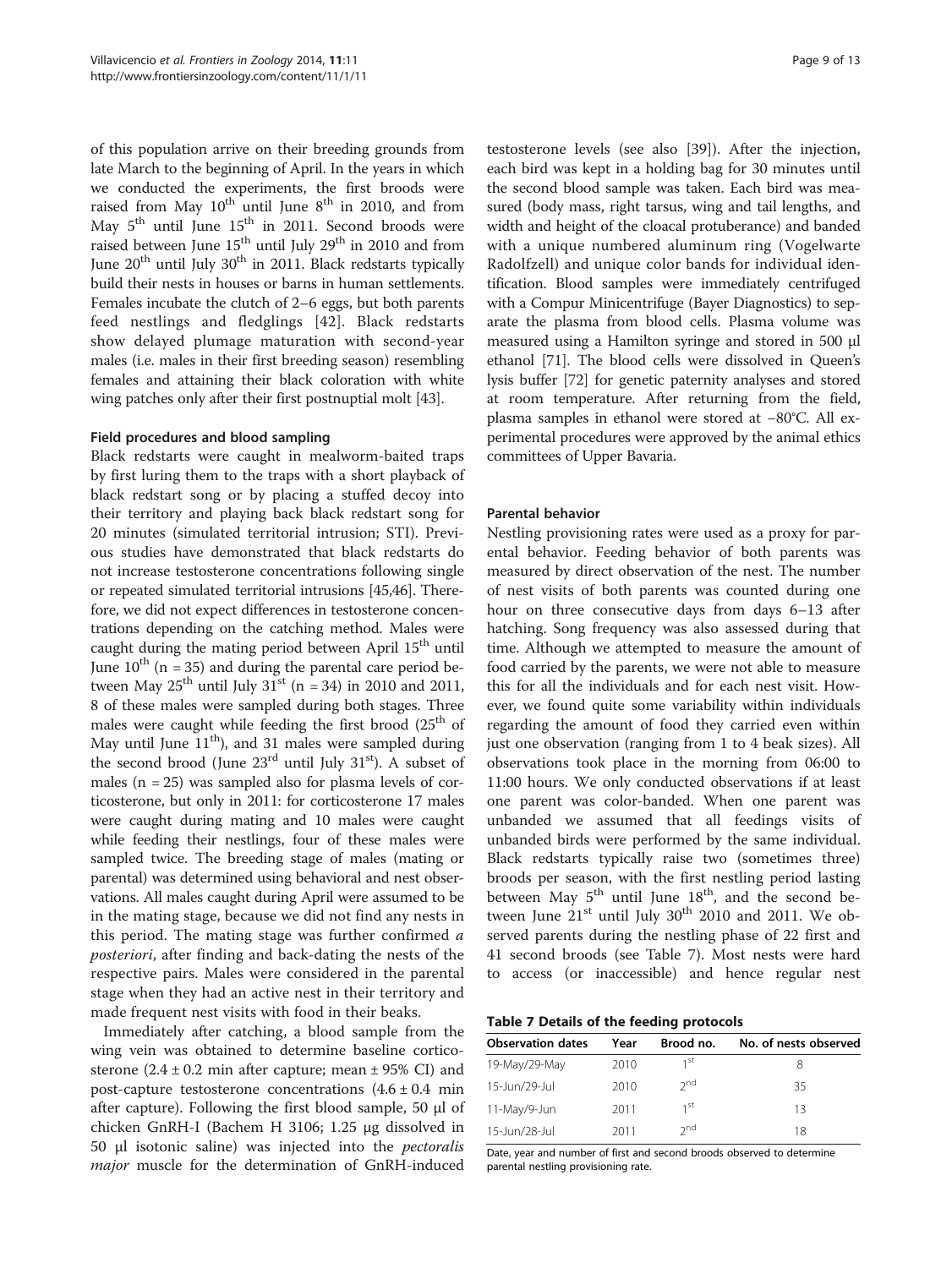of this population arrive on their breeding grounds from late March to the beginning of April. In the years in which we conducted the experiments, the first broods were raised from May  $10^{th}$  until June  $8^{th}$  in 2010, and from May  $5<sup>th</sup>$  until June  $15<sup>th</sup>$  in 2011. Second broods were raised between June  $15<sup>th</sup>$  until July 29<sup>th</sup> in 2010 and from June  $20^{th}$  until July  $30^{th}$  in 2011. Black redstarts typically build their nests in houses or barns in human settlements. Females incubate the clutch of 2–6 eggs, but both parents feed nestlings and fledglings [\[42\]](#page-11-0). Black redstarts show delayed plumage maturation with second-year males (i.e. males in their first breeding season) resembling females and attaining their black coloration with white wing patches only after their first postnuptial molt [\[43\]](#page-11-0).

#### Field procedures and blood sampling

Black redstarts were caught in mealworm-baited traps by first luring them to the traps with a short playback of black redstart song or by placing a stuffed decoy into their territory and playing back black redstart song for 20 minutes (simulated territorial intrusion; STI). Previous studies have demonstrated that black redstarts do not increase testosterone concentrations following single or repeated simulated territorial intrusions [[45,46](#page-11-0)]. Therefore, we did not expect differences in testosterone concentrations depending on the catching method. Males were caught during the mating period between April  $15<sup>th</sup>$  until June  $10^{th}$  (n = 35) and during the parental care period between May  $25<sup>th</sup>$  until July  $31<sup>st</sup>$  (n = 34) in 2010 and 2011, 8 of these males were sampled during both stages. Three males were caught while feeding the first brood  $(25<sup>th</sup>$  of May until June  $11<sup>th</sup>$ , and 31 males were sampled during the second brood (June  $23^{\text{rd}}$  until July  $31^{\text{st}}$ ). A subset of males ( $n = 25$ ) was sampled also for plasma levels of corticosterone, but only in 2011: for corticosterone 17 males were caught during mating and 10 males were caught while feeding their nestlings, four of these males were sampled twice. The breeding stage of males (mating or parental) was determined using behavioral and nest observations. All males caught during April were assumed to be in the mating stage, because we did not find any nests in this period. The mating stage was further confirmed  $a$ posteriori, after finding and back-dating the nests of the respective pairs. Males were considered in the parental stage when they had an active nest in their territory and made frequent nest visits with food in their beaks.

Immediately after catching, a blood sample from the wing vein was obtained to determine baseline corticosterone  $(2.4 \pm 0.2 \text{ min after capture; mean } \pm 95\% \text{ CI})$  and post-capture testosterone concentrations  $(4.6 \pm 0.4 \text{ min})$ after capture). Following the first blood sample, 50 μl of chicken GnRH-I (Bachem H 3106; 1.25 μg dissolved in 50 μl isotonic saline) was injected into the pectoralis major muscle for the determination of GnRH-induced

testosterone levels (see also [[39](#page-11-0)]). After the injection, each bird was kept in a holding bag for 30 minutes until the second blood sample was taken. Each bird was measured (body mass, right tarsus, wing and tail lengths, and width and height of the cloacal protuberance) and banded with a unique numbered aluminum ring (Vogelwarte Radolfzell) and unique color bands for individual identification. Blood samples were immediately centrifuged with a Compur Minicentrifuge (Bayer Diagnostics) to separate the plasma from blood cells. Plasma volume was measured using a Hamilton syringe and stored in 500 μl ethanol [\[71\]](#page-12-0). The blood cells were dissolved in Queen's lysis buffer [[72](#page-12-0)] for genetic paternity analyses and stored at room temperature. After returning from the field, plasma samples in ethanol were stored at −80°C. All experimental procedures were approved by the animal ethics committees of Upper Bavaria.

## Parental behavior

Nestling provisioning rates were used as a proxy for parental behavior. Feeding behavior of both parents was measured by direct observation of the nest. The number of nest visits of both parents was counted during one hour on three consecutive days from days 6–13 after hatching. Song frequency was also assessed during that time. Although we attempted to measure the amount of food carried by the parents, we were not able to measure this for all the individuals and for each nest visit. However, we found quite some variability within individuals regarding the amount of food they carried even within just one observation (ranging from 1 to 4 beak sizes). All observations took place in the morning from 06:00 to 11:00 hours. We only conducted observations if at least one parent was color-banded. When one parent was unbanded we assumed that all feedings visits of unbanded birds were performed by the same individual. Black redstarts typically raise two (sometimes three) broods per season, with the first nestling period lasting between May  $5<sup>th</sup>$  until June  $18<sup>th</sup>$ , and the second between June  $21^{st}$  until July  $30^{th}$  2010 and 2011. We observed parents during the nestling phase of 22 first and 41 second broods (see Table 7). Most nests were hard to access (or inaccessible) and hence regular nest

| Table 7 Details of the feeding protocols |  |  |  |
|------------------------------------------|--|--|--|
|------------------------------------------|--|--|--|

| <b>Observation dates</b> | Year | Brood no.       | No. of nests observed |
|--------------------------|------|-----------------|-----------------------|
| 19-May/29-May            | 2010 | 1 <sup>st</sup> | 8                     |
| 15-Jun/29-Jul            | 2010 | $2^{nd}$        | 35                    |
| 11-May/9-Jun             | 2011 | 1 <sup>st</sup> | 13                    |
| 15-Jun/28-Jul            | 2011 | 2 <sub>nd</sub> | 18                    |

Date, year and number of first and second broods observed to determine parental nestling provisioning rate.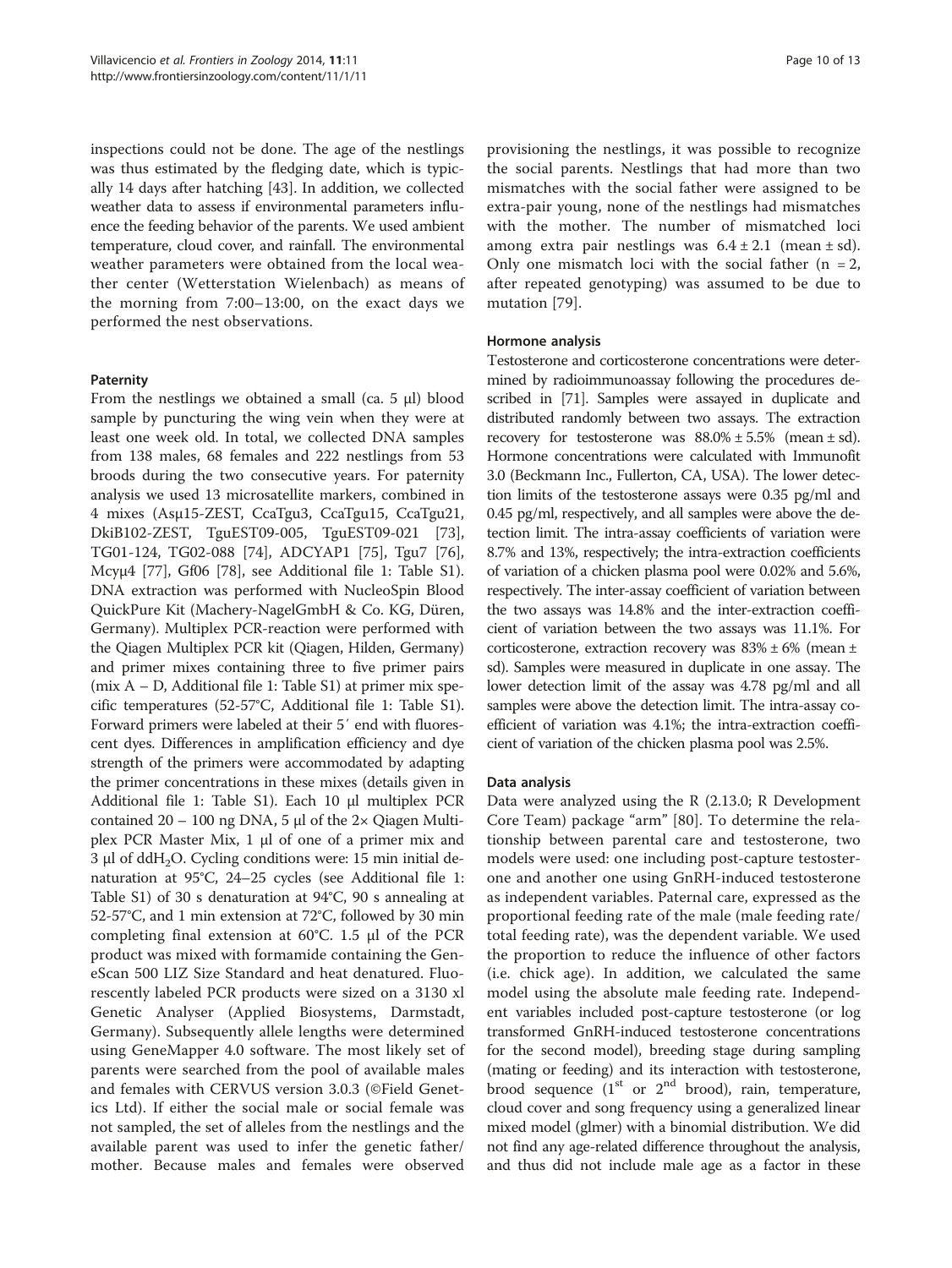inspections could not be done. The age of the nestlings was thus estimated by the fledging date, which is typically 14 days after hatching [[43\]](#page-11-0). In addition, we collected weather data to assess if environmental parameters influence the feeding behavior of the parents. We used ambient temperature, cloud cover, and rainfall. The environmental weather parameters were obtained from the local weather center (Wetterstation Wielenbach) as means of the morning from 7:00–13:00, on the exact days we performed the nest observations.

### Paternity

From the nestlings we obtained a small (ca. 5 μl) blood sample by puncturing the wing vein when they were at least one week old. In total, we collected DNA samples from 138 males, 68 females and 222 nestlings from 53 broods during the two consecutive years. For paternity analysis we used 13 microsatellite markers, combined in 4 mixes (Asμ15-ZEST, CcaTgu3, CcaTgu15, CcaTgu21, DkiB102-ZEST, TguEST09-005, TguEST09-021 [\[73](#page-12-0)], TG01-124, TG02-088 [\[74\]](#page-12-0), ADCYAP1 [\[75](#page-12-0)], Tgu7 [\[76](#page-12-0)], Mcyμ4 [\[77\]](#page-12-0), Gf06 [\[78](#page-12-0)], see Additional file [1:](#page-10-0) Table S1). DNA extraction was performed with NucleoSpin Blood QuickPure Kit (Machery-NagelGmbH & Co. KG, Düren, Germany). Multiplex PCR-reaction were performed with the Qiagen Multiplex PCR kit (Qiagen, Hilden, Germany) and primer mixes containing three to five primer pairs (mix A – D, Additional file [1:](#page-10-0) Table S1) at primer mix specific temperatures (52-57°C, Additional file [1](#page-10-0): Table S1). Forward primers were labeled at their 5′ end with fluorescent dyes. Differences in amplification efficiency and dye strength of the primers were accommodated by adapting the primer concentrations in these mixes (details given in Additional file [1](#page-10-0): Table S1). Each 10 μl multiplex PCR contained  $20 - 100$  ng DNA, 5 μl of the  $2 \times$  Qiagen Multiplex PCR Master Mix, 1 μl of one of a primer mix and 3 μl of ddH2O. Cycling conditions were: 15 min initial denaturation at 95°C, 24–25 cycles (see Additional file [1](#page-10-0): Table S1) of 30 s denaturation at 94°C, 90 s annealing at 52-57°C, and 1 min extension at 72°C, followed by 30 min completing final extension at 60°C. 1.5 μl of the PCR product was mixed with formamide containing the GeneScan 500 LIZ Size Standard and heat denatured. Fluorescently labeled PCR products were sized on a 3130 xl Genetic Analyser (Applied Biosystems, Darmstadt, Germany). Subsequently allele lengths were determined using GeneMapper 4.0 software. The most likely set of parents were searched from the pool of available males and females with CERVUS version 3.0.3 (©Field Genetics Ltd). If either the social male or social female was not sampled, the set of alleles from the nestlings and the available parent was used to infer the genetic father/ mother. Because males and females were observed

provisioning the nestlings, it was possible to recognize the social parents. Nestlings that had more than two mismatches with the social father were assigned to be extra-pair young, none of the nestlings had mismatches with the mother. The number of mismatched loci among extra pair nestlings was  $6.4 \pm 2.1$  (mean  $\pm$  sd). Only one mismatch loci with the social father  $(n = 2,$ after repeated genotyping) was assumed to be due to mutation [[79\]](#page-12-0).

### Hormone analysis

Testosterone and corticosterone concentrations were determined by radioimmunoassay following the procedures described in [\[71](#page-12-0)]. Samples were assayed in duplicate and distributed randomly between two assays. The extraction recovery for testosterone was  $88.0\% \pm 5.5\%$  (mean  $\pm$  sd). Hormone concentrations were calculated with Immunofit 3.0 (Beckmann Inc., Fullerton, CA, USA). The lower detection limits of the testosterone assays were 0.35 pg/ml and 0.45 pg/ml, respectively, and all samples were above the detection limit. The intra-assay coefficients of variation were 8.7% and 13%, respectively; the intra-extraction coefficients of variation of a chicken plasma pool were 0.02% and 5.6%, respectively. The inter-assay coefficient of variation between the two assays was 14.8% and the inter-extraction coefficient of variation between the two assays was 11.1%. For corticosterone, extraction recovery was 83% ± 6% (mean ± sd). Samples were measured in duplicate in one assay. The lower detection limit of the assay was 4.78 pg/ml and all samples were above the detection limit. The intra-assay coefficient of variation was 4.1%; the intra-extraction coefficient of variation of the chicken plasma pool was 2.5%.

#### Data analysis

Data were analyzed using the R (2.13.0; R Development Core Team) package "arm" [\[80](#page-12-0)]. To determine the relationship between parental care and testosterone, two models were used: one including post-capture testosterone and another one using GnRH-induced testosterone as independent variables. Paternal care, expressed as the proportional feeding rate of the male (male feeding rate/ total feeding rate), was the dependent variable. We used the proportion to reduce the influence of other factors (i.e. chick age). In addition, we calculated the same model using the absolute male feeding rate. Independent variables included post-capture testosterone (or log transformed GnRH-induced testosterone concentrations for the second model), breeding stage during sampling (mating or feeding) and its interaction with testosterone, brood sequence  $(1<sup>st</sup>$  or  $2<sup>nd</sup>$  brood), rain, temperature, cloud cover and song frequency using a generalized linear mixed model (glmer) with a binomial distribution. We did not find any age-related difference throughout the analysis, and thus did not include male age as a factor in these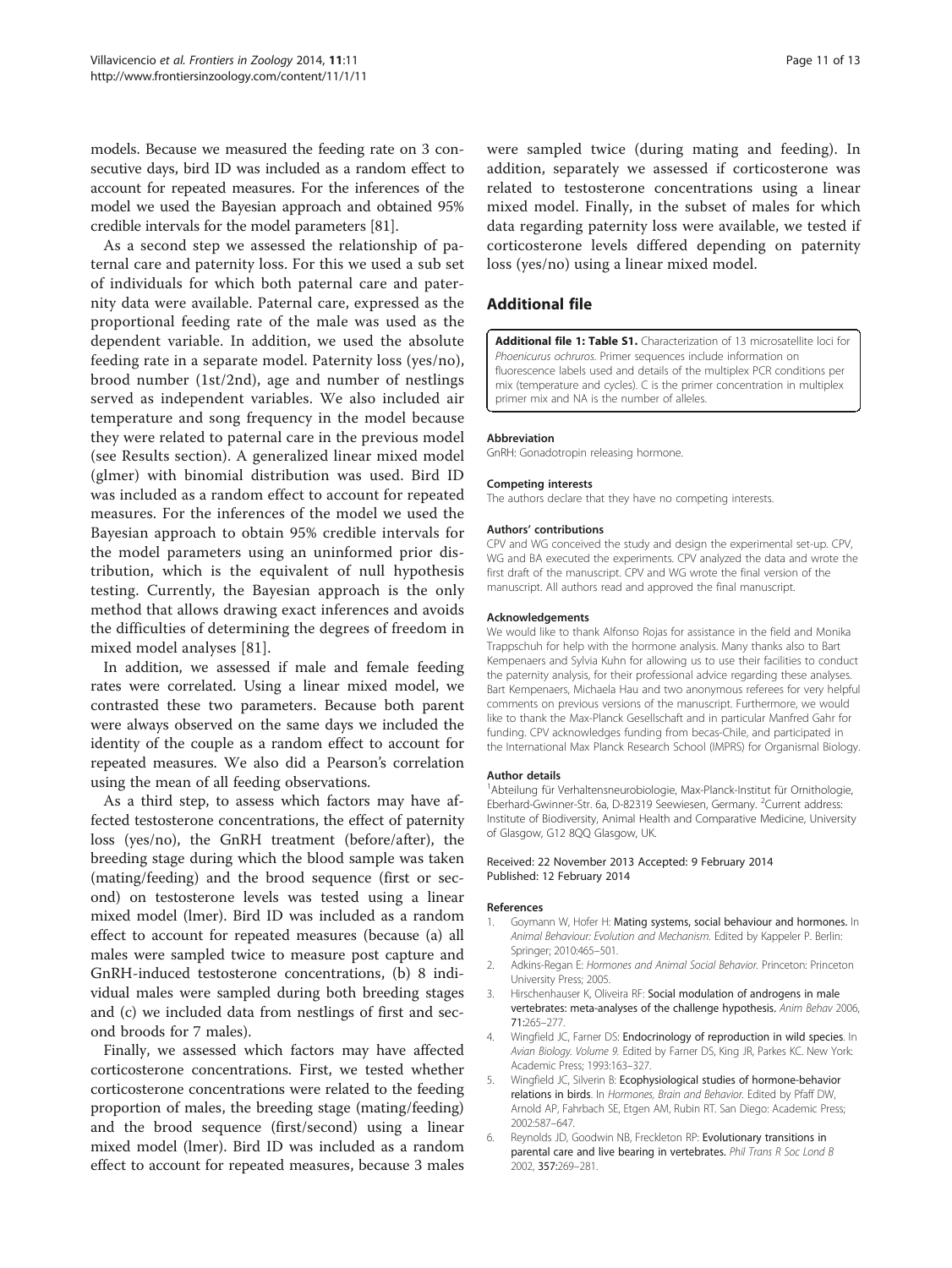<span id="page-10-0"></span>models. Because we measured the feeding rate on 3 consecutive days, bird ID was included as a random effect to account for repeated measures. For the inferences of the model we used the Bayesian approach and obtained 95% credible intervals for the model parameters [[81](#page-12-0)].

As a second step we assessed the relationship of paternal care and paternity loss. For this we used a sub set of individuals for which both paternal care and paternity data were available. Paternal care, expressed as the proportional feeding rate of the male was used as the dependent variable. In addition, we used the absolute feeding rate in a separate model. Paternity loss (yes/no), brood number (1st/2nd), age and number of nestlings served as independent variables. We also included air temperature and song frequency in the model because they were related to paternal care in the previous model (see [Results](#page-2-0) section). A generalized linear mixed model (glmer) with binomial distribution was used. Bird ID was included as a random effect to account for repeated measures. For the inferences of the model we used the Bayesian approach to obtain 95% credible intervals for the model parameters using an uninformed prior distribution, which is the equivalent of null hypothesis testing. Currently, the Bayesian approach is the only method that allows drawing exact inferences and avoids the difficulties of determining the degrees of freedom in mixed model analyses [[81](#page-12-0)].

In addition, we assessed if male and female feeding rates were correlated. Using a linear mixed model, we contrasted these two parameters. Because both parent were always observed on the same days we included the identity of the couple as a random effect to account for repeated measures. We also did a Pearson's correlation using the mean of all feeding observations.

As a third step, to assess which factors may have affected testosterone concentrations, the effect of paternity loss (yes/no), the GnRH treatment (before/after), the breeding stage during which the blood sample was taken (mating/feeding) and the brood sequence (first or second) on testosterone levels was tested using a linear mixed model (lmer). Bird ID was included as a random effect to account for repeated measures (because (a) all males were sampled twice to measure post capture and GnRH-induced testosterone concentrations, (b) 8 individual males were sampled during both breeding stages and (c) we included data from nestlings of first and second broods for 7 males).

Finally, we assessed which factors may have affected corticosterone concentrations. First, we tested whether corticosterone concentrations were related to the feeding proportion of males, the breeding stage (mating/feeding) and the brood sequence (first/second) using a linear mixed model (lmer). Bird ID was included as a random effect to account for repeated measures, because 3 males

were sampled twice (during mating and feeding). In addition, separately we assessed if corticosterone was related to testosterone concentrations using a linear mixed model. Finally, in the subset of males for which data regarding paternity loss were available, we tested if corticosterone levels differed depending on paternity loss (yes/no) using a linear mixed model.

## Additional file

[Additional file 1: Table S1.](http://www.biomedcentral.com/content/supplementary/1742-9994-11-11-S1.pdf) Characterization of 13 microsatellite loci for Phoenicurus ochruros. Primer sequences include information on fluorescence labels used and details of the multiplex PCR conditions per mix (temperature and cycles). C is the primer concentration in multiplex primer mix and NA is the number of alleles.

#### Abbreviation

GnRH: Gonadotropin releasing hormone.

#### Competing interests

The authors declare that they have no competing interests.

#### Authors' contributions

CPV and WG conceived the study and design the experimental set-up. CPV, WG and BA executed the experiments. CPV analyzed the data and wrote the first draft of the manuscript. CPV and WG wrote the final version of the manuscript. All authors read and approved the final manuscript.

#### Acknowledgements

We would like to thank Alfonso Rojas for assistance in the field and Monika Trappschuh for help with the hormone analysis. Many thanks also to Bart Kempenaers and Sylvia Kuhn for allowing us to use their facilities to conduct the paternity analysis, for their professional advice regarding these analyses. Bart Kempenaers, Michaela Hau and two anonymous referees for very helpful comments on previous versions of the manuscript. Furthermore, we would like to thank the Max-Planck Gesellschaft and in particular Manfred Gahr for funding. CPV acknowledges funding from becas-Chile, and participated in the International Max Planck Research School (IMPRS) for Organismal Biology.

#### Author details

1 Abteilung für Verhaltensneurobiologie, Max-Planck-Institut für Ornithologie, Eberhard-Gwinner-Str. 6a, D-82319 Seewiesen, Germany. <sup>2</sup>Current address: Institute of Biodiversity, Animal Health and Comparative Medicine, University of Glasgow, G12 8QQ Glasgow, UK.

#### Received: 22 November 2013 Accepted: 9 February 2014 Published: 12 February 2014

#### References

- 1. Goymann W, Hofer H: Mating systems, social behaviour and hormones. In Animal Behaviour: Evolution and Mechanism. Edited by Kappeler P. Berlin: Springer; 2010:465–501.
- 2. Adkins-Regan E: Hormones and Animal Social Behavior. Princeton: Princeton University Press; 2005.
- 3. Hirschenhauser K, Oliveira RF: Social modulation of androgens in male vertebrates: meta-analyses of the challenge hypothesis. Anim Behav 2006, 71:265–277.
- 4. Wingfield JC, Farner DS: Endocrinology of reproduction in wild species. In Avian Biology. Volume 9. Edited by Farner DS, King JR, Parkes KC. New York: Academic Press; 1993:163–327.
- 5. Wingfield JC, Silverin B: Ecophysiological studies of hormone-behavior relations in birds. In Hormones, Brain and Behavior. Edited by Pfaff DW, Arnold AP, Fahrbach SE, Etgen AM, Rubin RT. San Diego: Academic Press; 2002:587–647.
- 6. Reynolds JD, Goodwin NB, Freckleton RP: Evolutionary transitions in parental care and live bearing in vertebrates. Phil Trans R Soc Lond B 2002, 357:269–281.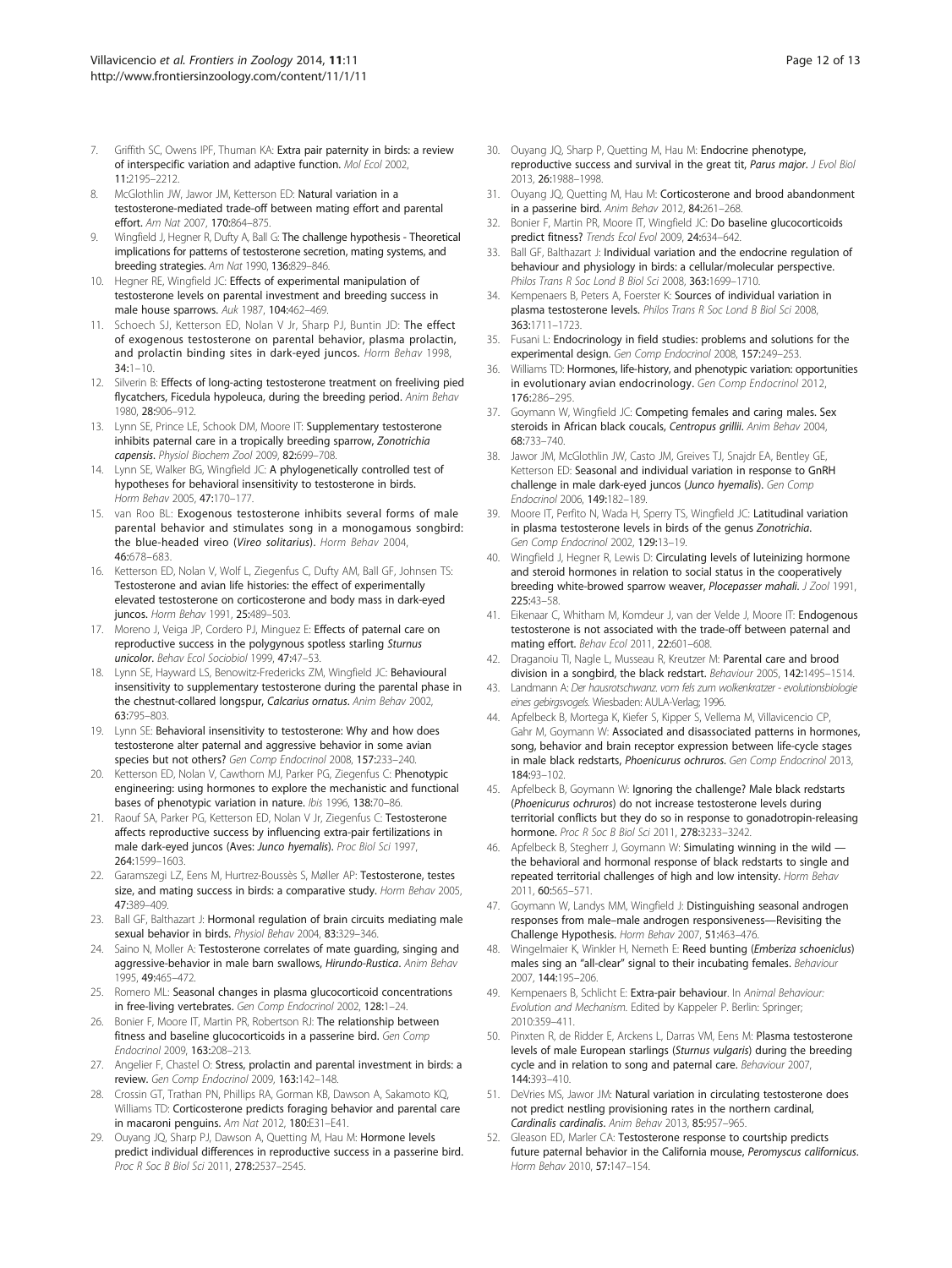- <span id="page-11-0"></span>7. Griffith SC, Owens IPF, Thuman KA: Extra pair paternity in birds: a review of interspecific variation and adaptive function. Mol Ecol 2002, 11:2195–2212.
- McGlothlin JW, Jawor JM, Ketterson ED: Natural variation in a testosterone-mediated trade-off between mating effort and parental effort. Am Nat 2007, 170:864–875.
- 9. Wingfield J, Hegner R, Dufty A, Ball G: The challenge hypothesis Theoretical implications for patterns of testosterone secretion, mating systems, and breeding strategies. Am Nat 1990, 136:829–846.
- 10. Hegner RE, Wingfield JC: Effects of experimental manipulation of testosterone levels on parental investment and breeding success in male house sparrows. Auk 1987, 104:462–469.
- 11. Schoech SJ, Ketterson ED, Nolan V Jr, Sharp PJ, Buntin JD: The effect of exogenous testosterone on parental behavior, plasma prolactin, and prolactin binding sites in dark-eyed juncos. Horm Behav 1998, 34:1–10.
- 12. Silverin B: Effects of long-acting testosterone treatment on freeliving pied flycatchers, Ficedula hypoleuca, during the breeding period. Anim Behav 1980, 28:906–912.
- 13. Lynn SE, Prince LE, Schook DM, Moore IT: Supplementary testosterone inhibits paternal care in a tropically breeding sparrow, Zonotrichia capensis. Physiol Biochem Zool 2009, 82:699–708.
- 14. Lynn SE, Walker BG, Wingfield JC: A phylogenetically controlled test of hypotheses for behavioral insensitivity to testosterone in birds. Horm Behav 2005, 47:170–177.
- 15. van Roo BL: Exogenous testosterone inhibits several forms of male parental behavior and stimulates song in a monogamous songbird: the blue-headed vireo (Vireo solitarius). Horm Behav 2004, 46:678–683.
- 16. Ketterson ED, Nolan V, Wolf L, Ziegenfus C, Dufty AM, Ball GF, Johnsen TS: Testosterone and avian life histories: the effect of experimentally elevated testosterone on corticosterone and body mass in dark-eyed juncos. Horm Behav 1991, 25:489–503.
- 17. Moreno J, Veiga JP, Cordero PJ, Minguez E: Effects of paternal care on reproductive success in the polygynous spotless starling Sturnus unicolor. Behav Ecol Sociobiol 1999, 47:47–53.
- 18. Lynn SE, Hayward LS, Benowitz-Fredericks ZM, Wingfield JC: Behavioural insensitivity to supplementary testosterone during the parental phase in the chestnut-collared longspur, Calcarius ornatus. Anim Behav 2002, 63:795–803.
- 19. Lynn SE: Behavioral insensitivity to testosterone: Why and how does testosterone alter paternal and aggressive behavior in some avian species but not others? Gen Comp Endocrinol 2008, 157:233–240.
- 20. Ketterson ED, Nolan V, Cawthorn MJ, Parker PG, Ziegenfus C: Phenotypic engineering: using hormones to explore the mechanistic and functional bases of phenotypic variation in nature. Ibis 1996, 138:70–86.
- 21. Raouf SA, Parker PG, Ketterson ED, Nolan V Jr, Ziegenfus C: Testosterone affects reproductive success by influencing extra-pair fertilizations in male dark-eyed juncos (Aves: Junco hyemalis). Proc Biol Sci 1997, 264:1599–1603.
- 22. Garamszegi LZ, Eens M, Hurtrez-Boussès S, Møller AP: Testosterone, testes size, and mating success in birds: a comparative study. Horm Behav 2005, 47:389–409.
- 23. Ball GF, Balthazart J: Hormonal regulation of brain circuits mediating male sexual behavior in birds. Physiol Behav 2004, 83:329–346.
- 24. Saino N, Moller A: Testosterone correlates of mate guarding, singing and aggressive-behavior in male barn swallows, Hirundo-Rustica. Anim Behav 1995, 49:465–472.
- 25. Romero ML: Seasonal changes in plasma glucocorticoid concentrations in free-living vertebrates. Gen Comp Endocrinol 2002, 128:1–24.
- 26. Bonier F, Moore IT, Martin PR, Robertson RJ: The relationship between fitness and baseline glucocorticoids in a passerine bird. Gen Comp Endocrinol 2009, 163:208–213.
- 27. Angelier F, Chastel O: Stress, prolactin and parental investment in birds: a review. Gen Comp Endocrinol 2009, 163:142–148.
- 28. Crossin GT, Trathan PN, Phillips RA, Gorman KB, Dawson A, Sakamoto KQ, Williams TD: Corticosterone predicts foraging behavior and parental care in macaroni penguins. Am Nat 2012, 180:E31–E41.
- 29. Ouyang JQ, Sharp PJ, Dawson A, Quetting M, Hau M: Hormone levels predict individual differences in reproductive success in a passerine bird. Proc R Soc B Biol Sci 2011, 278:2537–2545.
- 30. Ouyang JQ, Sharp P, Quetting M, Hau M: Endocrine phenotype, reproductive success and survival in the great tit, Parus major. J Evol Biol 2013, 26:1988–1998.
- 31. Ouyang JQ, Quetting M, Hau M: Corticosterone and brood abandonment in a passerine bird. Anim Behav 2012, 84:261–268.
- 32. Bonier F, Martin PR, Moore IT, Wingfield JC: Do baseline glucocorticoids predict fitness? Trends Ecol Evol 2009, 24:634–642.
- 33. Ball GF, Balthazart J: Individual variation and the endocrine regulation of behaviour and physiology in birds: a cellular/molecular perspective. Philos Trans R Soc Lond B Biol Sci 2008, 363:1699–1710.
- 34. Kempenaers B, Peters A, Foerster K: Sources of individual variation in plasma testosterone levels. Philos Trans R Soc Lond B Biol Sci 2008, 363:1711–1723.
- 35. Fusani L: Endocrinology in field studies: problems and solutions for the experimental design. Gen Comp Endocrinol 2008, 157:249–253.
- 36. Williams TD: Hormones, life-history, and phenotypic variation: opportunities in evolutionary avian endocrinology. Gen Comp Endocrinol 2012, 176:286–295.
- 37. Goymann W, Wingfield JC: Competing females and caring males. Sex steroids in African black coucals, Centropus grillii. Anim Behav 2004, 68:733–740.
- Jawor JM, McGlothlin JW, Casto JM, Greives TJ, Snajdr EA, Bentley GE, Ketterson ED: Seasonal and individual variation in response to GnRH challenge in male dark-eyed juncos (Junco hyemalis). Gen Comp Endocrinol 2006, 149:182–189.
- 39. Moore IT, Perfito N, Wada H, Sperry TS, Wingfield JC: Latitudinal variation in plasma testosterone levels in birds of the genus Zonotrichia. Gen Comp Endocrinol 2002, 129:13–19.
- 40. Wingfield J, Hegner R, Lewis D: Circulating levels of luteinizing hormone and steroid hormones in relation to social status in the cooperatively breeding white-browed sparrow weaver, Plocepasser mahali. J Zool 1991, 225:43–58.
- 41. Eikenaar C, Whitham M, Komdeur J, van der Velde J, Moore IT: Endogenous testosterone is not associated with the trade-off between paternal and mating effort. Behav Ecol 2011, 22:601-608.
- 42. Draganoiu TI, Nagle L, Musseau R, Kreutzer M: Parental care and brood division in a songbird, the black redstart. Behaviour 2005, 142:1495–1514.
- 43. Landmann A: Der hausrotschwanz. vom fels zum wolkenkratzer evolutionsbiologie eines gebirgsvogels. Wiesbaden: AULA-Verlag; 1996.
- 44. Apfelbeck B, Mortega K, Kiefer S, Kipper S, Vellema M, Villavicencio CP, Gahr M, Goymann W: Associated and disassociated patterns in hormones, song, behavior and brain receptor expression between life-cycle stages in male black redstarts, Phoenicurus ochruros. Gen Comp Endocrinol 2013, 184:93–102.
- 45. Apfelbeck B, Goymann W: Ignoring the challenge? Male black redstarts (Phoenicurus ochruros) do not increase testosterone levels during territorial conflicts but they do so in response to gonadotropin-releasing hormone. Proc R Soc B Biol Sci 2011, 278:3233–3242.
- 46. Apfelbeck B, Stegherr J, Goymann W: Simulating winning in the wild the behavioral and hormonal response of black redstarts to single and repeated territorial challenges of high and low intensity. Horm Behav 2011, 60:565–571.
- 47. Goymann W, Landys MM, Wingfield J: Distinguishing seasonal androgen responses from male–male androgen responsiveness—Revisiting the Challenge Hypothesis. Horm Behav 2007, 51:463–476.
- 48. Wingelmaier K, Winkler H, Nemeth E: Reed bunting (Emberiza schoeniclus) males sing an "all-clear" signal to their incubating females. Behaviour 2007, 144:195–206.
- 49. Kempenaers B, Schlicht E: Extra-pair behaviour. In Animal Behaviour: Evolution and Mechanism. Edited by Kappeler P. Berlin: Springer; 2010:359–411.
- 50. Pinxten R, de Ridder E, Arckens L, Darras VM, Eens M: Plasma testosterone levels of male European starlings (Sturnus vulgaris) during the breeding cycle and in relation to song and paternal care. Behaviour 2007, 144:393–410.
- 51. DeVries MS, Jawor JM: Natural variation in circulating testosterone does not predict nestling provisioning rates in the northern cardinal, Cardinalis cardinalis. Anim Behav 2013, 85:957–965.
- 52. Gleason ED, Marler CA: Testosterone response to courtship predicts future paternal behavior in the California mouse, Peromyscus californicus. Horm Behav 2010, 57:147–154.